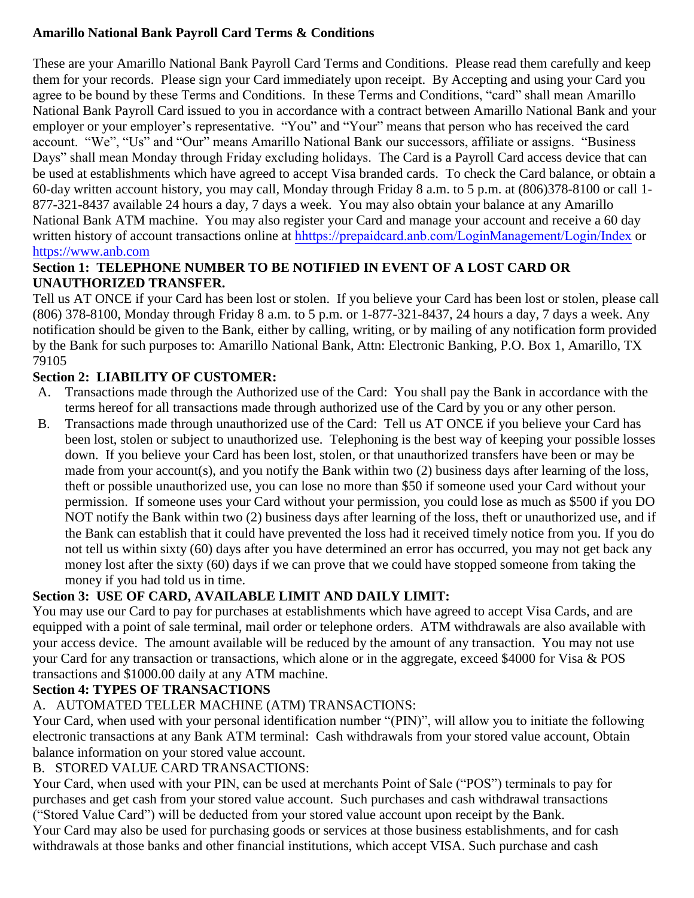#### **Amarillo National Bank Payroll Card Terms & Conditions**

These are your Amarillo National Bank Payroll Card Terms and Conditions. Please read them carefully and keep them for your records. Please sign your Card immediately upon receipt. By Accepting and using your Card you agree to be bound by these Terms and Conditions. In these Terms and Conditions, "card" shall mean Amarillo National Bank Payroll Card issued to you in accordance with a contract between Amarillo National Bank and your employer or your employer's representative. "You" and "Your" means that person who has received the card account. "We", "Us" and "Our" means Amarillo National Bank our successors, affiliate or assigns. "Business Days" shall mean Monday through Friday excluding holidays. The Card is a Payroll Card access device that can be used at establishments which have agreed to accept Visa branded cards. To check the Card balance, or obtain a 60-day written account history, you may call, Monday through Friday 8 a.m. to 5 p.m. at (806)378-8100 or call 1- 877-321-8437 available 24 hours a day, 7 days a week. You may also obtain your balance at any Amarillo National Bank ATM machine. You may also register your Card and manage your account and receive a 60 day written history of account transactions online at h<https://prepaidcard.anb.com/LoginManagement/Login/Index>or ht[tps://www.anb.com](https://www.anb.com/)

#### **Section 1: TELEPHONE NUMBER TO BE NOTIFIED IN EVENT OF A LOST CARD OR UNAUTHORIZED TRANSFER.**

Tell us AT ONCE if your Card has been lost or stolen. If you believe your Card has been lost or stolen, please call (806) 378-8100, Monday through Friday 8 a.m. to 5 p.m. or 1-877-321-8437, 24 hours a day, 7 days a week. Any notification should be given to the Bank, either by calling, writing, or by mailing of any notification form provided by the Bank for such purposes to: Amarillo National Bank, Attn: Electronic Banking, P.O. Box 1, Amarillo, TX 79105

### **Section 2: LIABILITY OF CUSTOMER:**

- A. Transactions made through the Authorized use of the Card: You shall pay the Bank in accordance with the terms hereof for all transactions made through authorized use of the Card by you or any other person.
- B. Transactions made through unauthorized use of the Card: Tell us AT ONCE if you believe your Card has been lost, stolen or subject to unauthorized use. Telephoning is the best way of keeping your possible losses down. If you believe your Card has been lost, stolen, or that unauthorized transfers have been or may be made from your account(s), and you notify the Bank within two (2) business days after learning of the loss, theft or possible unauthorized use, you can lose no more than \$50 if someone used your Card without your permission. If someone uses your Card without your permission, you could lose as much as \$500 if you DO NOT notify the Bank within two (2) business days after learning of the loss, theft or unauthorized use, and if the Bank can establish that it could have prevented the loss had it received timely notice from you. If you do not tell us within sixty (60) days after you have determined an error has occurred, you may not get back any money lost after the sixty (60) days if we can prove that we could have stopped someone from taking the money if you had told us in time.

## **Section 3: USE OF CARD, AVAILABLE LIMIT AND DAILY LIMIT:**

You may use our Card to pay for purchases at establishments which have agreed to accept Visa Cards, and are equipped with a point of sale terminal, mail order or telephone orders. ATM withdrawals are also available with your access device. The amount available will be reduced by the amount of any transaction. You may not use your Card for any transaction or transactions, which alone or in the aggregate, exceed \$4000 for Visa & POS transactions and \$1000.00 daily at any ATM machine.

#### **Section 4: TYPES OF TRANSACTIONS**

## A. AUTOMATED TELLER MACHINE (ATM) TRANSACTIONS:

Your Card, when used with your personal identification number "(PIN)", will allow you to initiate the following electronic transactions at any Bank ATM terminal: Cash withdrawals from your stored value account, Obtain balance information on your stored value account.

#### B. STORED VALUE CARD TRANSACTIONS:

Your Card, when used with your PIN, can be used at merchants Point of Sale ("POS") terminals to pay for purchases and get cash from your stored value account. Such purchases and cash withdrawal transactions ("Stored Value Card") will be deducted from your stored value account upon receipt by the Bank.

Your Card may also be used for purchasing goods or services at those business establishments, and for cash withdrawals at those banks and other financial institutions, which accept VISA. Such purchase and cash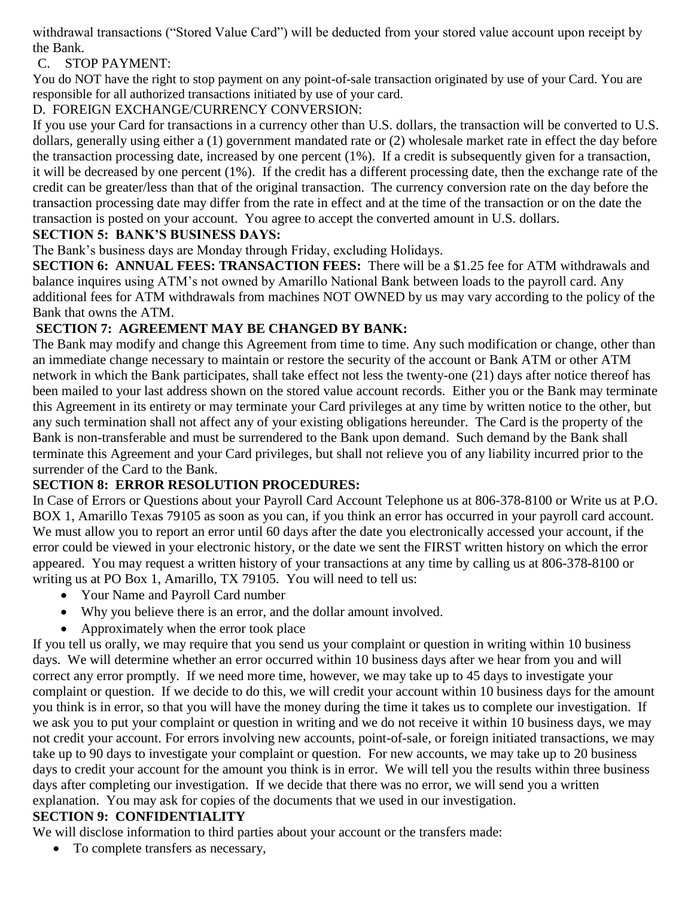withdrawal transactions ("Stored Value Card") will be deducted from your stored value account upon receipt by the Bank.

C. STOP PAYMENT:

You do NOT have the right to stop payment on any point-of-sale transaction originated by use of your Card. You are responsible for all authorized transactions initiated by use of your card.

D. FOREIGN EXCHANGE/CURRENCY CONVERSION:

If you use your Card for transactions in a currency other than U.S. dollars, the transaction will be converted to U.S. dollars, generally using either a (1) government mandated rate or (2) wholesale market rate in effect the day before the transaction processing date, increased by one percent (1%). If a credit is subsequently given for a transaction, it will be decreased by one percent (1%). If the credit has a different processing date, then the exchange rate of the credit can be greater/less than that of the original transaction. The currency conversion rate on the day before the transaction processing date may differ from the rate in effect and at the time of the transaction or on the date the transaction is posted on your account. You agree to accept the converted amount in U.S. dollars.

## **SECTION 5: BANK'S BUSINESS DAYS:**

The Bank's business days are Monday through Friday, excluding Holidays.

**SECTION 6: ANNUAL FEES: TRANSACTION FEES:** There will be a \$1.25 fee for ATM withdrawals and balance inquires using ATM's not owned by Amarillo National Bank between loads to the payroll card. Any additional fees for ATM withdrawals from machines NOT OWNED by us may vary according to the policy of the Bank that owns the ATM.

# **SECTION 7: AGREEMENT MAY BE CHANGED BY BANK:**

The Bank may modify and change this Agreement from time to time. Any such modification or change, other than an immediate change necessary to maintain or restore the security of the account or Bank ATM or other ATM network in which the Bank participates, shall take effect not less the twenty-one (21) days after notice thereof has been mailed to your last address shown on the stored value account records. Either you or the Bank may terminate this Agreement in its entirety or may terminate your Card privileges at any time by written notice to the other, but any such termination shall not affect any of your existing obligations hereunder. The Card is the property of the Bank is non-transferable and must be surrendered to the Bank upon demand. Such demand by the Bank shall terminate this Agreement and your Card privileges, but shall not relieve you of any liability incurred prior to the surrender of the Card to the Bank.

## **SECTION 8: ERROR RESOLUTION PROCEDURES:**

In Case of Errors or Questions about your Payroll Card Account Telephone us at 806-378-8100 or Write us at P.O. BOX 1, Amarillo Texas 79105 as soon as you can, if you think an error has occurred in your payroll card account. We must allow you to report an error until 60 days after the date you electronically accessed your account, if the error could be viewed in your electronic history, or the date we sent the FIRST written history on which the error appeared. You may request a written history of your transactions at any time by calling us at 806-378-8100 or writing us at PO Box 1, Amarillo, TX 79105. You will need to tell us:

- Your Name and Payroll Card number
- Why you believe there is an error, and the dollar amount involved.
- Approximately when the error took place

If you tell us orally, we may require that you send us your complaint or question in writing within 10 business days. We will determine whether an error occurred within 10 business days after we hear from you and will correct any error promptly. If we need more time, however, we may take up to 45 days to investigate your complaint or question. If we decide to do this, we will credit your account within 10 business days for the amount you think is in error, so that you will have the money during the time it takes us to complete our investigation. If we ask you to put your complaint or question in writing and we do not receive it within 10 business days, we may not credit your account. For errors involving new accounts, point-of-sale, or foreign initiated transactions, we may take up to 90 days to investigate your complaint or question. For new accounts, we may take up to 20 business days to credit your account for the amount you think is in error. We will tell you the results within three business days after completing our investigation. If we decide that there was no error, we will send you a written explanation. You may ask for copies of the documents that we used in our investigation.

## **SECTION 9: CONFIDENTIALITY**

We will disclose information to third parties about your account or the transfers made:

• To complete transfers as necessary,